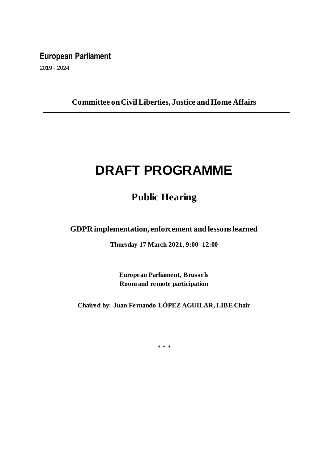## **European Parliament**

2019 - 2024

## **Committee on Civil Liberties, Justice and Home Affairs**

# **DRAFT PROGRAMME**

# **Public Hearing**

**GDPR implementation, enforcement and lessons learned**

**Thursday 17 March 2021, 9:00 -12:00**

**European Parliament, Brussels Room and remote participation** 

**Chaired by: Juan Fernando LÓPEZ AGUILAR, LIBE Chair**

\* \* \*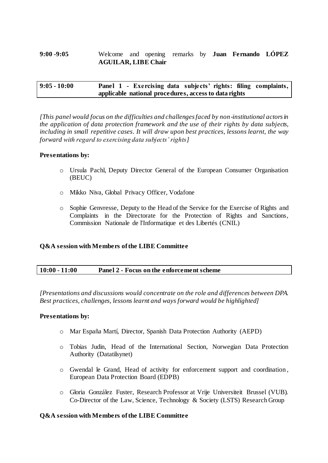#### **9:00 -9:05** Welcome and opening remarks by **Juan Fernando LÓPEZ AGUILAR, LIBE Chair**

#### **9:05 - 10:00 Panel 1 - Exercising data subjects' rights: filing complaints, applicable national procedures, access to data rights**

*[This panel would focus on the difficulties and challenges faced by non-institutional actors in the application of data protection framework and the use of their rights by data subjects, including in small repetitive cases. It will draw upon best practices, lessons learnt, the way forward with regard to exercising data subjects' rights]*

#### **Presentations by:**

- o Ursula Pachl, Deputy Director General of the European Consumer Organisation (BEUC)
- o Mikko Niva, Global Privacy Officer, Vodafone
- o Sophie Genvresse, Deputy to the Head of the Service for the Exercise of Rights and Complaints in the Directorate for the Protection of Rights and Sanctions, Commission Nationale de l'Informatique et des Libertés (CNIL)

#### **Q&A session with Members of the LIBE Committee**

*[Presentations and discussions would concentrate on the role and differences between DPA. Best practices, challenges, lessons learnt and ways forward would be highlighted]*

#### **Presentations by:**

- o Mar España Martí, Director, Spanish Data Protection Authority (AEPD)
- o Tobias Judin, Head of the International Section, Norwegian Data Protection Authority (Datatilsynet)
- o Gwendal le Grand, Head of activity for enforcement support and coordination , European Data Protection Board (EDPB)
- o Gloria González Fuster, Research Professor at Vrije Universiteit Brussel (VUB). Co-Director of the Law, Science, Technology & Society (LSTS) Research Group

#### **Q&A session with Members of the LIBE Committee**